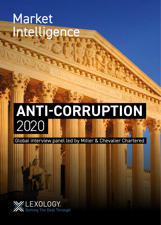## Market Intelligence

# **ANTI-CORRUPTION** 2020

Global interview panel led by Miller & Chevalier Chartered

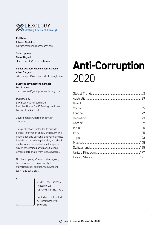

Publisher Edward Costelloe edward.costelloe@lbresearch.com

Subscriptions Claire Bagnall claire.bagnall@lbresearch.com

Senior business development manager Adam Sargent adam.sargent@gettingthedealthrough.com

Business development manager Dan Brennan dan.brennan@gettingthedealthrough.com

#### Published by

Law Business Research Ltd Meridian House, 34-35 Farringdon Street London, EC4A 4HL, UK

Cover photo: shutterstock.com/g/ orhancam

This publication is intended to provide general information on law and policy. The information and opinions it contains are not intended to provide legal advice, and should not be treated as a substitute for specific advice concerning particular situations (where appropriate, from local advisers).

No photocopying. CLA and other agency licensing systems do not apply. For an authorised copy contact Adam Sargent, tel: +44 20 3780 4104

> © 2020 Law Business Research Ltd ISBN: 978-1-83862-372-2

Printed and distributed by Encompass Print Solutions

### **Anti-Corruption** 2020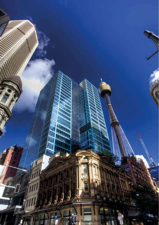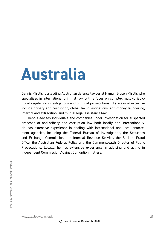## **Australia**

Dennis Miralis is a leading Australian defence lawyer at Nyman Gibson Miralis who specialises in international criminal law, with a focus on complex multi-jurisdictional regulatory investigations and criminal prosecutions. His areas of expertise include bribery and corruption, global tax investigations, anti-money laundering, Interpol and extradition, and mutual legal assistance law.

Dennis advises individuals and companies under investigation for suspected breaches of anti-bribery and corruption law both locally and internationally. He has extensive experience in dealing with international and local enforcement agencies, including the Federal Bureau of Investigation, the Securities and Exchange Commission, the Internal Revenue Service, the Serious Fraud Office, the Australian Federal Police and the Commonwealth Director of Public Prosecutions. Locally, he has extensive experience in advising and acting in Independent Commission Against Corruption matters.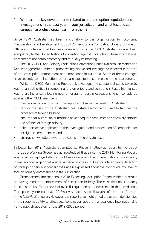#### 1 What are the key developments related to anti-corruption regulation and  $\mid$  investigations in the past vear in your jurisdiction, and what lessons can  $\mid$ compliance professionals learn from them?

Since 1999, Australia has been a signatory to the Organisation for Economic Co-operation and Development (OECD) Convention on Combating Bribery of Foreign Officials in International Business Transactions. Since 2003, Australia has also been a signatory to the United Nations Convention against Corruption. These international agreements are complementary and mutually reinforcing.

The 2017 OECD Anti-Bribery Corruption Convention Phase 4 Australian Monitoring Report triggered a number of proposed legislative and investigative reforms in the area of anti-corruption enforcement and compliance in Australia. Some of these changes have recently come into effect; others are expected to commence in the near future.

While the OECD Monitoring Report acknowledges the substantial steps taken by Australian authorities in combating foreign bribery and corruption, it also highlighted Australia's historically low number of foreign bribery prosecutions, when considered against other OECD members.

Key recommendations from the report emphasise the need for Australia to:

- reduce the risk of the Australian real estate sector being used to launder the proceeds of foreign bribery;
- ensure that Australian authorities have adequate resources to effectively enforce the offence of foreign bribery;
- take a proactive approach to the investigation and prosecution of companies for foreign bribery offences; and
- strengthen whistle-blower protections in the private sector.

In December 2019, Australia submitted its Phase 4 follow-up report to the OECD. The OECD Working Group has acknowledged that since the 2017 Monitoring Report, Australia has deployed efforts to address a number of recommendations. Significantly it was acknowledged that Australia made progress in its efforts to enhance detection on foreign bribery but concern was again expressed about the continued low level of foreign bribery enforcement in the jurisdiction.

Transparency International's 2018 Exporting Corruption Report ranked Australia as having moderate enforcement of corruption bribery. The classification ultimately indicates an insufficient level of overall regulation and deterrence in the jurisdiction. Transparency International's 2019 survey placed Australia as one of the top performers in the Asia-Pacific region. However, the report also highlighted the overall deficiencies in the region's ability to effectively control corruption. Transparency International is yet to publish updates for the 2019–2020 period.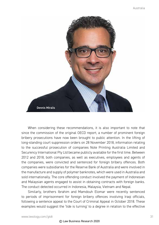

When considering these recommendations, it is also important to note that since the commission of the original OECD report, a number of prominent foreign bribery prosecutions have now been brought to public attention. In the lifting of long-standing court suppression orders on 28 November 2018, information relating to the successful prosecution of companies Note Printing Australia Limited and Securency International Pty Ltd became publicly available for the first time. Between 2012 and 2018, both companies, as well as executives, employees and agents of the companies, were convicted and sentenced for foreign bribery offences. Both companies were subsidiaries for the Reserve Bank of Australia and were involved in the manufacture and supply of polymer banknotes, which were used in Australia and sold internationally. The core offending conduct involved the payment of Indonesian and Malaysian agents engaged to assist in obtaining contracts with foreign banks. The conduct detected occurred in Indonesia, Malaysia, Vietnam and Nepal.

Similarly, brothers Ibrahim and Mamdouh Elomar were recently sentenced to periods of imprisonment for foreign bribery offences involving Iraqi officials, following a sentence appeal to the Court of Criminal Appeal in October 2018. These examples would suggest the 'tide is turning' to a degree in relation to the effective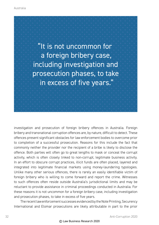

investigation and prosecution of foreign bribery offences in Australia. Foreign bribery and transnational corruption offences are, by nature, difficult to detect. These offences present significant obstacles for law enforcement bodies to overcome prior to completion of a successful prosecution. Reasons for this include the fact that commonly neither the provider nor the recipient of a bribe is likely to disclose the offence. Both parties will often go to great lengths to mask or conceal the corrupt activity, which is often closely linked to non-corrupt, legitimate business activity. In an effort to obscure corrupt practices, illicit funds are often placed, layered and integrated into legitimate financial markets using money-laundering typologies. Unlike many other serious offences, there is rarely an easily identifiable victim of foreign bribery who is willing to come forward and report the crime. Witnesses to such offences often reside outside Australia's jurisdictional limits and may be reluctant to provide assistance in criminal proceedings conducted in Australia. For these reasons it is not uncommon for a foreign bribery case, including investigation and prosecution phases, to take in excess of five years.

The recent law enforcement successes evidenced by the Note Printing, Securency International and Elomar prosecutions are likely attributable in part to the prior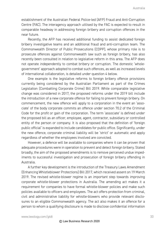establishment of the Australian Federal Police-led (AFP) Fraud and Anti-Corruption Centre (FAC). The interagency approach utilised by the FAC is expected to result in comparable headway in addressing foreign bribery and corruption offences in the near future.

Recently, the AFP has received additional funding to assist dedicated foreign bribery investigative teams and an additional fraud and anti-corruption team. The Commonwealth Director of Public Prosecutions (CDPP), whose primary role is to prosecute offences against Commonwealth law such as foreign bribery, has also recently been consulted in relation to legislative reform in this area. The AFP does not operate independently to combat bribery or corruption. The domestic 'wholegovernment' approach adopted to combat such offences, as well as increased levels of international collaboration, is detailed under question 4 below.

One example is the legislative reforms to foreign bribery offence provisions currently being considered by the Australian Parliament as part of the Crimes Legislation (Combatting Corporate Crime) Bill 2019. While comparable legislative change was considered in 2017, the proposed reforms under the 2019 bill include the introduction of a new corporate offence for failing to prevent foreign bribery. On commencement, the new offence will apply to a corporation in the event an 'associate' of the body corporate commits an offence under section 70.2 of the Criminal Code for the profit or gain of the corporation. The term 'associate' is defined under the proposed bill as an officer, employee, agent, contractor, subsidiary or controlled entity of the person or company. It is also proposed that the definition of 'foreign public official' is expanded to include candidates for public office. Significantly, under the new offence, corporate criminal liability will be 'strict' or automatic and apply regardless of whether the employees involved are convicted.

However, a defence will be available to companies where it can be proven that adequate procedures were in operation to prevent and detect foreign bribery. Stated broadly, the aim of the proposed amendments is to remove perceived undue impediments to successful investigation and prosecution of foreign bribery offending in Australia.

A further key development is the introduction of the Treasury Laws Amendment (Enhancing Whistleblower Protections) Bill 2017, which received assent on 19 March 2019. The revised whistle-blower regime is an important step towards improving corporate whistle-blower protections in Australia. The amending act makes it a requirement for companies to have formal whistle-blower policies and make such policies available to officers and employees. The act offers protection from criminal, civil and administrative liability for whistle-blowers who provide relevant disclosures to an eligible Commonwealth agency. The act also makes it an offence for a person to whom a qualifying disclosure is made to disclose confidential information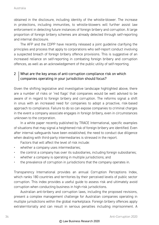obtained in the disclosure, including identity of the whistle-blower. The increase in protections, including immunities, to whistle-blowers will further assist law enforcement in detecting future instances of foreign bribery and corruption. A large proportion of foreign bribery schemes are already detected through self-reporting and internal disclosure.

The AFP and the CDPP have recently released a joint guideline clarifying the principles and process that apply to corporations who self-report conduct involving a suspected breach of foreign bribery offence provisions. This is suggestive of an increased reliance on self-reporting in combating foreign bribery and corruption offences, as well as an acknowledgement of the public utility of self-reporting.

#### 2 What are the key areas of anti-corruption compliance risk on which companies operating in your jurisdiction should focus?

Given the shifting legislative and investigative landscape highlighted above, there are a number of risks or 'red flags' that companies would be well advised to be aware of in regard to foreign bribery and corruption. The reforms signal a shift in onus with an increased need for companies to adopt a proactive, risk-based approach to compliance. Failure to do so can expose companies to criminal charges in the event a company associate engages in foreign bribery, even in circumstances unknown to the corporation.

In a white paper recently published by TRACE International, specific examples of situations that may signal a heightened risk of foreign bribery are identified. Even after internal safeguards have been established, the need to conduct due diligence when dealing with third-party intermediaries is stressed in the report.

Factors that will affect the level of risk include:

- whether a company uses intermediaries;
- the control a company has over its subsidiaries, including foreign subsidiaries;
- whether a company is operating in multiple jurisdictions; and
- the prevalence of corruption in jurisdictions that the company operates in.

Transparency International provides an annual Corruption Perceptions Index, which ranks 180 countries and territories by their perceived levels of public sector corruption. This index provides a useful guide to assess risk and ultimately avoid corruption when conducting business in high-risk jurisdictions.

Australian anti-bribery and corruption laws, including the proposed revisions, present a complex management challenge for Australian companies operating in multiple jurisdictions within the global marketplace. Foreign bribery offences apply extraterritorially and can result in serious penalties including imprisonment. A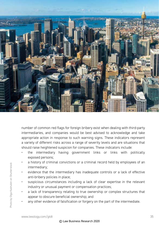

number of common red flags for foreign bribery exist when dealing with third-party intermediaries, and companies would be best advised to acknowledge and take appropriate action in response to such warning signs. These indicators represent a variety of different risks across a range of severity levels and are situations that should raise heightened suspicion for companies. These indicators include:

- the intermediary having government links or links with politically exposed persons;
- a history of criminal convictions or a criminal record held by employees of an intermediary;
- evidence that the intermediary has inadequate controls or a lack of effective anti-bribery policies in place;
- suspicious circumstances including a lack of clear expertise in the relevant industry or unusual payment or compensation practices;
- a lack of transparency relating to true ownership or complex structures that appear to obscure beneficial ownership; and
- any other evidence of falsification or forgery on the part of the intermediate.

#### © Law Business Research 2020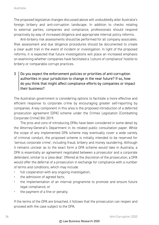The proposed legislative changes discussed above will undoubtedly alter Australia's foreign bribery and anti-corruption landscape. In addition to checks relating to external parties, companies and compliance, professionals should respond proactively by way of increased diligence and appropriate internal policy reforms.

Anti-bribery risk assessments should be performed for all company associates. Risk assessment and due diligence procedures should be documented to create a clear audit trail in the event of incident or investigation. In light of the proposed reforms, it is expected that future investigations will place an increased emphasis on examining whether companies have facilitated a 'culture of compliance' hostile to bribery or comparable corrupt practices.

#### $3 \mid$  Do you expect the enforcement policies or priorities of anti-corruption authorities in your jurisdiction to change in the near future? If so, how do you think that might affect compliance efforts by companies or impact their business?

The Australian government is considering options to facilitate a more effective and efficient response to corporate crime by encouraging greater self-reporting by companies. A key component in this area is the proposed introduction of a deferred prosecution agreement (DPA) scheme under the Crimes Legislation (Combatting Corporate Crime) Bill 2019.

The pros and cons of introducing DPAs have been considered in some detail by the Attorney-General's Department in its related public consultation paper. While the scope of any implemented DPA scheme may eventually cover a wide variety of criminal conduct, the proposed scheme is initially intended to be reserved for 'serious corporate crime', including fraud, bribery and money laundering. Although it remains unclear as to the exact form a DPA scheme would take in Australia, a DPA is essentially an agreement negotiated between a prosecutor and a corporate defendant, similar to a 'plea deal'. Offered at the discretion of the prosecution, a DPA would offer the deferral of a prosecution in exchange for compliance with a number of terms and conditions, which may include:

- full cooperation with any ongoing investigation;
- the admission of agreed facts;
- the implementation of an internal programme to promote and ensure future legal compliance; or
- the payment of a fine or penalty.

If the terms of the DPA are breached, it follows that the prosecution can reopen and proceed with the case subject to the DPA.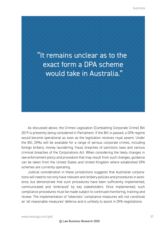

As discussed above, the Crimes Legislation (Combatting Corporate Crime) Bill 2019 is presently being considered in Parliament. If the Bill is passed, a DPA regime would become operational as soon as the legislation receives royal assent. Under the Bill, DPAs will be available for a range of serious corporate crimes, including foreign bribery, money laundering, fraud, breaches of sanctions laws and various criminal breaches of the Corporations Act. When considering the likely changes in law enforcement policy and procedure that may result from such changes, guidance can be taken from the United States and United Kingdom where established DPA schemes are currently operating.

Judicial consideration in these jurisdictions suggests that Australian corporations will need to not only have relevant anti-bribery policies and procedures in existence, but demonstrate that such procedures have been sufficiently implemented, communicated and 'embraced' by key stakeholders. Once implemented, such compliance procedures must be made subject to continued monitoring, training and review. The implementation of 'tokenistic' compliance measures will not constitute an 'all reasonable measures' defence and is unlikely to assist in DPA negotiations.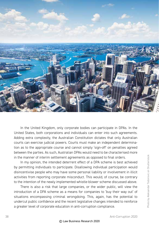

In the United Kingdom, only corporate bodies can participate in DPAs. In the United States, both corporations and individuals can enter into such agreements. Adding extra complexity, the Australian Constitution dictates that only Australian courts can exercise judicial powers. Courts must make an independent determination as to the appropriate course and cannot simply 'sign-off' on penalties agreed between the parties. As such, Australian DPAs would need to be characterised more in the manner of interim settlement agreements as opposed to final orders.

In my opinion, the intended deterrent effect of a DPA scheme is best achieved by permitting individuals to participate. Disallowing individual participation would disincentivise people who may have some personal liability or involvement in illicit activities from reporting corporate misconduct. This would, of course, be contrary to the intention of the newly implemented whistle-blower scheme discussed above.

There is also a risk that large companies, or the wider public, will view the introduction of a DPA scheme as a means for companies to 'buy their way out' of situations encompassing criminal wrongdoing. This, again, has the potential to undercut public confidence and the recent legislative changes intended to reinforce a greater level of corporate education in anti-corruption compliance.

#### © Law Business Research 2020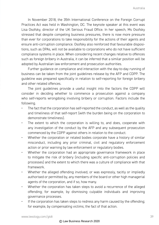In November 2018, the 35th International Conference on the Foreign Corrupt Practices Act was held in Washington, DC. The keynote speaker at this event was Lisa Osofsky, director of the UK Serious Fraud Office. In her speech, Ms Osofsky stressed that despite competing business pressures, there is now more pressure than ever for corporations to take responsibility for the actions of their agents and ensure anti-corruption compliance. Osofsky also reinforced that favourable dispositions, such as DPAs, will not be available to corporations who do not have sufficient compliance systems in place. When considering recent changes relative to offences such as foreign bribery in Australia, it can be inferred that a similar position will be adopted by Australian law enforcement and prosecution authorities.

Further guidance on compliance and interaction with the day-to-day running of business can be taken from the joint guidelines release by the AFP and CDPP. The guideline was prepared specifically in relation to self-reporting for foreign bribery and other related offences.

The joint guidelines provide a useful insight into the factors the CDPP will consider in deciding whether to commence a prosecution against a company who self-reports wrongdoing involving bribery or corruption. Factors include the following.

- The fact that the corporation has self-reported the conduct, as well as the quality and timeliness of that self-report (with the burden being on the corporation to demonstrate timeliness).
- The extent to which the corporation is willing to, and does, cooperate with any investigation of the conduct by the AFP and any subsequent prosecution commenced by the CDPP against others in relation to the conduct.
- Whether the corporation or related bodies corporate have a history of similar misconduct, including any prior criminal, civil and regulatory enforcement action or prior warning by law enforcement or regulatory bodies.
- Whether the corporation had an appropriate governance framework in place to mitigate the risk of bribery (including specific anti-corruption policies and processes) and the extent to which there was a culture of compliance with that framework.
- Whether the alleged offending involved, or was expressly, tacitly or impliedly authorised or permitted by, any members of the board or other high managerial agents of the corporation, and if so, how many.
- Whether the corporation has taken steps to avoid a recurrence of the alleged offending; for example, by dismissing culpable individuals and improving governance processes.
- If the corporation has taken steps to redress any harm caused by the offending: for example, by compensating victims; the fact of that action.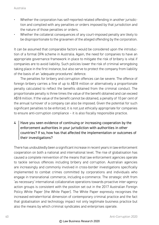- Whether the corporation has self-reported related offending in another jurisdiction and complied with any penalties or orders imposed by that jurisdiction and the nature of those penalties or orders.
- Whether the collateral consequences of any court-imposed penalty are likely to be disproportionate to the gravamen of the alleged offending by the corporation.

It can be assumed that comparable factors would be considered upon the introduction of a formal DPA scheme in Australia. Again, the need for companies to have an appropriate governance framework in place to mitigate the risk of bribery is vital if companies are to avoid liability. Such policies lower the risk of criminal wrongdoing taking place in the first instance, but also serve to protect the company from liability of the basis of an 'adequate procedures' defence.

The penalties for bribery and corruption offences can be severe. The offence of foreign bribery carries a fine of up to A\$18 million or alternatively a proportionate penalty calculated to reflect the benefits obtained from the criminal conduct. The proportionate penalty is three times the value of the benefit obtained and can exceed A\$18 million. If the value of the benefit cannot be obtained, a penalty of 10 per cent of the annual turnover of a company can also be imposed. Given the potential for such significant penalties to be enforced, it is not just ethically appropriate for companies to ensure anti-corruption compliance – it is also fiscally responsible practice.

 $4 \mid$  Have you seen evidence of continuing or increasing cooperation by the enforcement authorities in your jurisdiction with authorities in other countries? If so, how has that affected the implementation or outcomes of their investigations?

There has undoubtedly been a significant increase in recent years in law enforcement cooperation on both a national and international level. The rise of globalisation has caused a complete reinvention of the means that law enforcement agencies operate to tackle serious offences including bribery and corruption. Australian agencies are increasingly and commonly involved in cross-border investigations specifically implemented to combat crimes committed by corporations and individuals who engage in transnational commerce, including e-commerce. The strategic shift from 'as necessary' international collaborative operations towards proactive inter-agency action groups is consistent with the position set out in the 2017 Australian Foreign Policy White Paper (the White Paper). The White Paper expressly recognises the increased extraterritorial dimension of contemporary criminal practice and the fact that globalisation and technology impact not only legitimate business practice but also the means by which criminal syndicates and enterprises operate.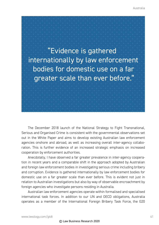"Evidence is gathered internationally by law enforcement bodies for domestic use on a far greater scale than ever before."

The December 2018 launch of the National Strategy to Fight Transnational, Serious and Organised Crime is consistent with the governmental observations set out in the White Paper and aims to develop existing Australian law enforcement agencies onshore and abroad, as well as increasing overall inter-agency collaboration. This is further evidence of an increased strategic emphasis on increased cooperation by enforcement authorities.

Anecdotally, I have observed a far greater prevalence in inter-agency cooperation in recent years and a comparable shift in the approach adopted by Australian and foreign law enforcement bodies in investigating serious crime including bribery and corruption. Evidence is gathered internationally by law enforcement bodies for domestic use on a far greater scale than ever before. This is evident not just in relation to Australian investigations but also by way of observable encroachment by foreign agencies who investigate persons residing in Australia.

Australian law enforcement agencies operate within formalised and specialised international task forces. In addition to our UN and OECD obligations, Australia operates as a member of the International Foreign Bribery Task Force, the G20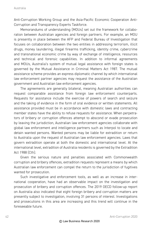Anti-Corruption Working Group and the Asia-Pacific Economic Cooperation Anti-Corruption and Transparency Experts Taskforce.

Memorandums of understanding (MOUs) set out the framework for collaboration between Australian agencies and foreign partners. For example, an MOU is presently in place between the AFP and Federal Bureau of Investigation that focuses on collaboration between the two entities in addressing terrorism, illicit drugs, money laundering, illegal firearms trafficking, identity crime, cybercrime and transnational economic crime by way of exchange of intelligence, resources and technical and forensic capabilities. In addition to informal agreements and MOUs, Australia's system of mutual legal assistance with foreign states is governed by the Mutual Assistance in Criminal Matters Act 1987. The mutual assistance scheme provides an express diplomatic channel by which international law enforcement partner agencies may request the assistance of the Australian government and Australian law enforcement agencies.

The agreements are generally bilateral, meaning Australian authorities can request comparable assistance from foreign law enforcement counterparts. Requests for assistance include the exercise of powers of search and seizure and the taking of evidence in the form of oral evidence or written statements. All assistance provided must be in accordance with domestic laws and contracting member states have the ability to refuse requests for assistance. When perpetrators of bribery or corruption offences attempt to abscond or evade prosecution by leaving the jurisdiction, Australian law enforcement agencies collaborate with global law enforcement and intelligence partners such as Interpol to locate and detain wanted persons. Wanted persons may be liable for extradition or return to Australia upon the request of Australian law enforcement agencies. Laws that govern extradition operate at both the domestic and international level. At the international level, extradition of Australia residents is governed by the Extradition Act 1988 (Cth).

Given the serious nature and penalties associated with Commonwealth corruption and bribery offences, extradition requests represent a means by which Australian law enforcement can compel the return to the jurisdiction of fugitives wanted for prosecution.

Such investigative and enforcement tools, as well as an increase in international cooperation, have had an observable impact on the investigation and prosecution of bribery and corruption offences. The 2019 OECD follow-up report on Australia also indicated that eight foreign bribery and corruption matters are presently subject to investigation, involving 31 persons of interest. Investigations and prosecutions in this area are increasing and this trend will continue in the foreseeable future.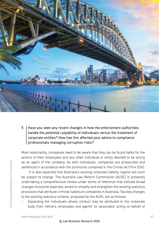

5 Have you seen any recent changes in how the enforcement authorities handle the potential culpability of individuals versus the treatment of corporate entities? How has this affected your advice to compliance professionals managing corruption risks?

Most importantly, companies need to be aware that they can be found liable for the actions of their employees and any other individual or entity deemed to be acting as an agent of the company. As with individuals, companies are prosecuted and sentenced in accordance with the provisions contained in the Crimes Act1914 (Cth).

 It is also expected that Australia's existing corporate liability regime will soon be subject to change. The Australia Law Reform Commission (ALRC) is presently undertaking a comprehensive review under terms of reference that indicate broad changes should be expected, aimed to simplify and strengthen the existing statutory provisions that attribute criminal liability to companies in Australia. Two key changes to the existing statutory scheme, proposed by the ALRC, are as follows.

Expanding the individuals whose conduct may be attributed to the corporate body from 'officers, employees and agents' to 'associates' acting on behalf of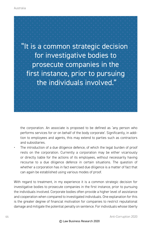

the corporation. An associate is proposed to be defined as 'any person who performs services for or on behalf of the body corporate'. Significantly, in addition to employees and agents, this may extend to parties such as contractors and subsidiaries.

The introduction of a due diligence defence, of which the legal burden of proof rests on the corporation. Currently a corporation may be either vicariously or directly liable for the actions of its employees, without necessarily having recourse to a due diligence defence in certain situations. The question of whether a corporation has in fact exercised due diligence is a matter of fact that can again be established using various modes of proof.

With regard to treatment, in my experience it is a common strategic decision for investigative bodies to prosecute companies in the first instance, prior to pursuing the individuals involved. Corporate bodies often provide a higher level of assistance and cooperation when compared to investigated individuals. One explanation for this is the greater degree of financial motivation for companies to restrict reputational damage and mitigate the potential penalty on sentence. For individuals whose liberty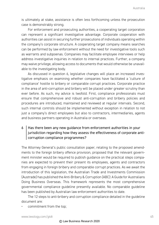is ultimately at stake, assistance is often less forthcoming unless the prosecution case is demonstrably strong.

For enforcement and prosecuting authorities, a cooperating target corporation can represent a significant investigative advantage. Corporate cooperation with authorities can assist in securing further prosecutions of individuals operating within the company's corporate structure. A cooperating target company means searches can be performed by law enforcement without the need for investigative tools such as warrants and subpoenas. Companies may facilitate employee interviews or help address investigative inquiries in relation to internal practices. Further, a company may waive privilege, allowing access to documents that would otherwise be unavailable to the investigating body.

As discussed in question 6, legislative changes will place an increased investigative emphasis on examining whether companies have facilitated a 'culture of compliance' hostile to bribery or comparable corrupt practices. Corporate practice in the area of anti-corruption and bribery will be placed under greater scrutiny than ever before. As such, my advice is twofold. First, compliance professionals must ensure that comprehensive and robust anti-corruption and bribery policies and procedures are introduced, maintained and reviewed at regular intervals. Second, such internal controls should be implemented without exception in relation to not just a company's direct employees but also to contractors, intermediaries, agents and business partners operating in Australia or overseas.

#### $6$  Has there been any new quidance from enforcement authorities in your iurisdiction regarding how they assess the effectiveness of corporate anticorruption compliance programmes?

The Attorney General's public consultation paper, relating to the proposed amendments to the foreign bribery offence provision, proposed that the relevant government minister would be required to publish guidance on the practical steps companies are expected to prevent their present its employees, agents and contractors from engaging in foreign bribery and comparable corrupt practices. As we await the introduction of this legislation, the Australian Trade and Investments Commission (Austrade) has published the Anti-Bribery & Corruption (ABC): A Guide for Australians Doing Business Overseas. This framework represents the most comprehensive governmental compliance guideline presently available. No comparable guideline has been published by Australian law enforcement authorities to date.

The 12 steps to anti-bribery and corruption compliance detailed in the guideline document are:

commitment from the top;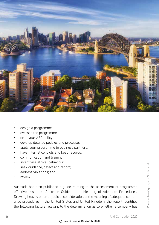

- design a programme;
- oversee the programme;
- draft your ABC policy;
- develop detailed policies and processes;
- apply your programme to business partners;
- have internal controls and keep records;
- communication and training;
- incentivise ethical behaviour:
- seek guidance, detect and report;
- address violations; and
- review.

Austrade has also published a guide relating to the assessment of programme effectiveness titled Austrade Guide to the Meaning of Adequate Procedures. Drawing heavily on prior judicial consideration of the meaning of adequate compliance procedures in the United States and United Kingdom, the report identifies the following factors relevant to the determination as to whether a company has

#### © Law Business Research 2020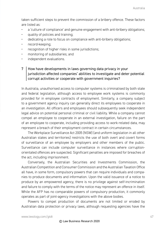taken sufficient steps to prevent the commission of a bribery offence. These factors are listed as:

- a 'culture of compliance' and genuine engagement with anti-bribery obligations;
- quality of policies and training;
- dedicating a role to focus on compliance with anti-bribery obligations;
- record-keeping;
- recognition of higher risks in some jurisdictions;
- monitoring of subsidiaries; and
- independent evaluations.

#### $7$  How have developments in laws governing data privacy in your jurisdiction affected companies' abilities to investigate and deter potential corrupt activities or cooperate with government inquiries?

In Australia, unauthorised access to computer systems is criminalised by both state and federal legislation, although access to employee work systems is commonly provided for in employee contracts of employment. Similarly, a company subject to a government agency inquiry can generally direct its employees to cooperate in an investigation. All officers and employees should subsequently seek independent legal advice on potential personal criminal or civil liability. While a company cannot compel an employee to cooperate in an external investigation, failure on the part of an employee to cooperate, including providing access to work-related data, may represent a breach of their employment contract in certain circumstances.

The Workplace Surveillance Act 2005 (NSW) (and uniform legislation in all other Australian states and territories) restricts the use of both overt and covert forms of surveillance of an employee by employers and other members of the public. Surveillance can include computer surveillance in instances where corruptionorientated offences are suspected. Significant penalties are imposed for breaches of the act, including imprisonment.

Conversely, the Australian Securities and Investments Commission, the Australian Competition and Consumer Commission and the Australian Taxation Office all have, in some form, compulsory powers that can require individuals and companies to produce documents and information. Upon the valid issuance of a notice to produce by an empowered agency, there is no privilege against self-incrimination and failure to comply with the terms of the notice may represent an offence in itself. While the AFP has no comparable powers of compulsory production, it commonly operates as part of joint-agency investigations with the above bodies.

Powers to compel production of documents are not limited or eroded by Australian data protection or privacy laws, although requesting agencies have the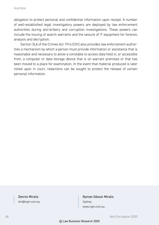obligation to protect personal and confidential information upon receipt. A number of well-established legal investigatory powers are deployed by law enforcement authorities during anti-bribery and corruption investigations. These powers can include the issuing of search warrants and the seizure of IT equipment for forensic analysis and decryption.

Section 3LA of the Crimes Act 1914 (Cth) also provides law enforcement authorities a mechanism by which a person must provide information or assistance that is reasonable and necessary to allow a constable to access data held in, or accessible from, a computer or data storage device that is on warrant premises or that has been moved to a place for examination. In the event that material produced is later relied upon in court, redactions can be sought to protect the release of certain personal information.

#### Dennis Miralis

dm@ngm.com.au

#### Nyman Gibson Miralis Sydney www.ngm.com.au

48 Anti-Corruption 2020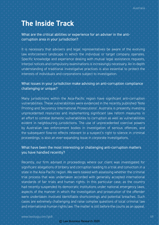### **The Inside Track**

What are the critical abilities or experience for an adviser in the anticorruption area in your jurisdiction?

It is necessary that advisers and legal representatives be aware of the evolving law enforcement landscape in which the individual or target company operates. Specific knowledge and experience dealing with mutual legal assistance requests, Interpol notices and compulsory examinations is increasingly necessary. An in-depth understanding of traditional investigative practices is also essential to protect the interests of individuals and corporations subject to investigation.

#### What issues in your jurisdiction make advising on anti-corruption compliance challenging or unique?

Many jurisdictions within the Asia-Pacific region have significant anti-corruption vulnerabilities. These vulnerabilities were evidenced in the recently published 'Note Printing and Securency International Prosecutions'. Australia is presently investing unprecedented resources and implementing significant law reform measures in an effort to combat domestic vulnerabilities to corruption as well as vulnerabilities evident in neighbouring jurisdictions. The use of unprecedented coercive powers by Australian law enforcement bodies in investigation of serious offences, and the subsequent flow-on effects relevant to a suspect's right to silence in criminal proceedings, is also an ever-expanding issue in corporate investigations.

#### What have been the most interesting or challenging anti-corruption matters you have handled recently?

Recently, our firm advised in proceedings where our client was investigated for significant allegations of bribery and corruption leading to a trial and conviction in a state in the Asia-Pacific region. We were tasked with assessing whether the criminal trial process that was undertaken accorded with generally accepted international standards of fair trials and human rights. In this particular case, as the country had recently suspended its democratic institutions under national emergency laws, aspects of the manner in which the investigation and prosecution of the offender were undertaken involved identifiable shortcomings and potential breaches. Such cases are extremely challenging and raise complex questions of local criminal law and international human rights law. The matter is still before the courts as an appeal.